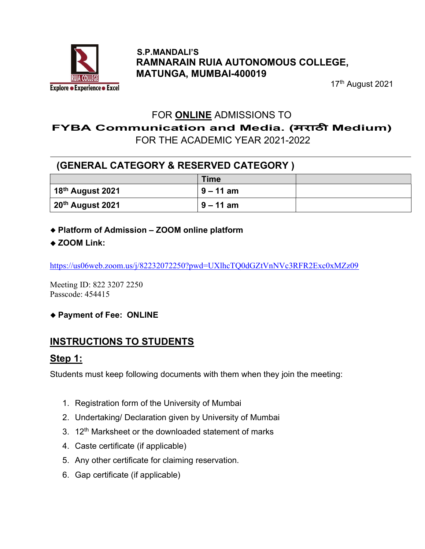

#### S.P.MANDALI'S RAMNARAIN RUIA AUTONOMOUS COLLEGE, MATUNGA, MUMBAI-400019

17<sup>th</sup> August 2021

### FOR ONLINE ADMISSIONS TO

FYBA Communication and Media. (मराठी Medium)

FOR THE ACADEMIC YEAR 2021-2022

## (GENERAL CATEGORY & RESERVED CATEGORY )

|                                      | Time        |  |
|--------------------------------------|-------------|--|
| $\vert$ 18 <sup>th</sup> August 2021 | $9 - 11$ am |  |
| 20th August 2021                     | $9 - 11$ am |  |

- Platform of Admission ZOOM online platform
- ◆ ZOOM Link:

https://us06web.zoom.us/j/82232072250?pwd=UXlhcTQ0dGZtVnNVc3RFR2Exc0xMZz09

Meeting ID: 822 3207 2250 Passcode: 454415

◆ Payment of Fee: ONLINE

# INSTRUCTIONS TO STUDENTS

#### Step 1:

Students must keep following documents with them when they join the meeting:

- 1. Registration form of the University of Mumbai
- 2. Undertaking/ Declaration given by University of Mumbai
- 3.  $12<sup>th</sup>$  Marksheet or the downloaded statement of marks
- 4. Caste certificate (if applicable)
- 5. Any other certificate for claiming reservation.
- 6. Gap certificate (if applicable)